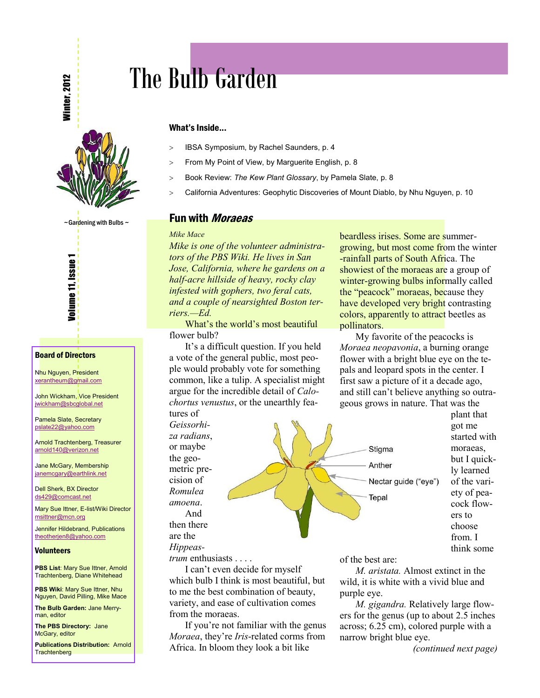**Winter, 2012** 



 $\sim$  Gardening with Bulbs  $\sim$ 



**Volume 11, Issue 1** 

Nhu Nguyen, President [xerantheum@gmail.com](mailto:xerantheum@gmail.com)

John Wickham, Vice President [jwickham@sbcglobal.net](mailto:jwickham@sbcglobal.net)

Pamela Slate, Secretary [pslate22@yahoo.com](mailto:pslate22@yahoo.com)

Arnold Trachtenberg, Treasurer [arnold140@verizon.net](mailto:arnold140@verizon.net)

Jane McGary, Membership [janemcgary@earthlink.net](mailto:janemcgary@earthlink.net)

Dell Sherk, BX Director [ds429@comcast.net](mailto:ds429@comcast.net)

Mary Sue Ittner, E-list/Wiki Director [msittner@mcn.org](mailto:msittner@mcn.org)

Jennifer Hildebrand, Publications [theotherjen8@yahoo.com](mailto:theotherjen8@yahoo.com)

#### **Volunteers**

**PBS List: Mary Sue Ittner, Arnold** Trachtenberg, Diane Whitehead

**PBS Wiki: Mary Sue Ittner, Nhu** Nguyen, David Pilling, Mike Mace

**The Bulb Garden:** Jane Merryman, editor

**The PBS Directory:** Jane McGary, editor

**Publications Distribution:** Arnold **Trachtenberg** 

# The Bulb Garden

#### What's Inside...

- > IBSA Symposium, by Rachel Saunders, p. 4
- > From My Point of View, by Marguerite English, p. 8
- ! Book Review: *The Kew Plant Glossary*, by Pamela Slate, p. 8
- > California Adventures: Geophytic Discoveries of Mount Diablo, by Nhu Nguyen, p. 10

## **Fun with** *Moraeas*

#### *Mike Mace*

*Mike is one of the volunteer administrators of the PBS Wiki. He lives in San Jose, California, where he gardens on a half-acre hillside of heavy, rocky clay infested with gophers, two feral cats, and a couple of nearsighted Boston terriers.—Ed.*

What's the world's most beautiful flower bulb?

It's a difficult question. If you held a vote of the general public, most people would probably vote for something common, like a tulip. A specialist might argue for the incredible detail of *Calochortus venustus*, or the unearthly features of

*Geissorhiza radians*, or maybe the geometric precision of *Romulea amoena*. And then there are the

*Hippeas-*

*trum* enthusiasts . . . .

I can't even decide for myself which bulb I think is most beautiful, but to me the best combination of beauty, variety, and ease of cultivation comes from the moraeas.

If you're not familiar with the genus *Moraea*, they're *Iris*-related corms from Africa. In bloom they look a bit like

beardless irises. Some are summergrowing, but most come from the winter -rainfall parts of South Africa. The showiest of the moraeas are a group of winter-growing bulbs informally called the "peacock" moraeas, because they have developed very bright contrasting colors, apparently to attract beetles as pollinators.

My favorite of the peacocks is *Moraea neopavonia*, a burning orange flower with a bright blue eye on the tepals and leopard spots in the center. I first saw a picture of it a decade ago, and still can't believe anything so outrageous grows in nature. That was the



plant that got me started with moraeas, but I quickly learned of the variety of peacock flowers to choose from. I think some

of the best are:

*M. aristata.* Almost extinct in the wild, it is white with a vivid blue and purple eye.

*M. gigandra.* Relatively large flowers for the genus (up to about 2.5 inches across; 6.25 cm), colored purple with a narrow bright blue eye.

*(continued next page)*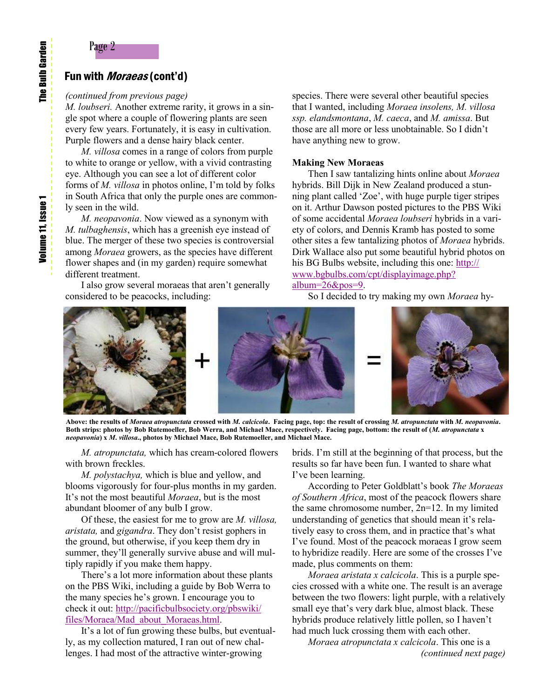## Page 2

## Fun with *Moraeas* (cont'd)

## *(continued from previous page)*

*M. loubseri.* Another extreme rarity, it grows in a single spot where a couple of flowering plants are seen every few years. Fortunately, it is easy in cultivation. Purple flowers and a dense hairy black center.

*M. villosa* comes in a range of colors from purple to white to orange or yellow, with a vivid contrasting eye. Although you can see a lot of different color forms of *M. villosa* in photos online, I'm told by folks in South Africa that only the purple ones are commonly seen in the wild.

*M. neopavonia*. Now viewed as a synonym with *M. tulbaghensis*, which has a greenish eye instead of blue. The merger of these two species is controversial among *Moraea* growers, as the species have different flower shapes and (in my garden) require somewhat different treatment.

I also grow several moraeas that aren't generally considered to be peacocks, including:

species. There were several other beautiful species that I wanted, including *Moraea insolens, M. villosa ssp. elandsmontana*, *M. caeca*, and *M. amissa*. But those are all more or less unobtainable. So I didn't have anything new to grow.

## **Making New Moraeas**

Then I saw tantalizing hints online about *Moraea* hybrids. Bill Dijk in New Zealand produced a stunning plant called 'Zoe', with huge purple tiger stripes on it. Arthur Dawson posted pictures to the PBS Wiki of some accidental *Moraea loubseri* hybrids in a variety of colors, and Dennis Kramb has posted to some other sites a few tantalizing photos of *Moraea* hybrids. Dirk Wallace also put some beautiful hybrid photos on his BG Bulbs website, including this one: [http://](http://www.bgbulbs.com/cpt/displayimage.php?album=26&pos=9) [www.bgbulbs.com/cpt/displayimage.php?](http://www.bgbulbs.com/cpt/displayimage.php?album=26&pos=9) [album=26&pos=9.](http://www.bgbulbs.com/cpt/displayimage.php?album=26&pos=9)

So I decided to try making my own *Moraea* hy-



**Above: the results of** *Moraea atropunctata* **crossed with** *M. calcicola***. Facing page, top: the result of crossing** *M. atropunctata* **with** *M. neopavonia***. Both strips: photos by Bob Rutemoeller, Bob Werra, and Michael Mace, respectively. Facing page, bottom: the result of (***M. atropunctata* **x**  *neopavonia***) x** *M***.** *villosa***., photos by Michael Mace, Bob Rutemoeller, and Michael Mace.**

*M. atropunctata,* which has cream-colored flowers with brown freckles.

*M. polystachya,* which is blue and yellow, and blooms vigorously for four-plus months in my garden. It's not the most beautiful *Moraea*, but is the most abundant bloomer of any bulb I grow.

Of these, the easiest for me to grow are *M. villosa, aristata,* and *gigandra*. They don't resist gophers in the ground, but otherwise, if you keep them dry in summer, they'll generally survive abuse and will multiply rapidly if you make them happy.

There's a lot more information about these plants on the PBS Wiki, including a guide by Bob Werra to the many species he's grown. I encourage you to check it out: [http://pacificbulbsociety.org/pbswiki/](http://pacificbulbsociety.org/pbswiki/files/Moraea/Mad_about_Moraeas.html) [files/Moraea/Mad\\_about\\_Moraeas.html.](http://pacificbulbsociety.org/pbswiki/files/Moraea/Mad_about_Moraeas.html) 

It's a lot of fun growing these bulbs, but eventually, as my collection matured, I ran out of new challenges. I had most of the attractive winter-growing

brids. I'm still at the beginning of that process, but the results so far have been fun. I wanted to share what I've been learning.

According to Peter Goldblatt's book *The Moraeas of Southern Africa*, most of the peacock flowers share the same chromosome number, 2n=12. In my limited understanding of genetics that should mean it's relatively easy to cross them, and in practice that's what I've found. Most of the peacock moraeas I grow seem to hybridize readily. Here are some of the crosses I've made, plus comments on them:

*Moraea aristata x calcicola*. This is a purple species crossed with a white one. The result is an average between the two flowers: light purple, with a relatively small eye that's very dark blue, almost black. These hybrids produce relatively little pollen, so I haven't had much luck crossing them with each other.

*Moraea atropunctata x calcicola*. This one is a *(continued next page)*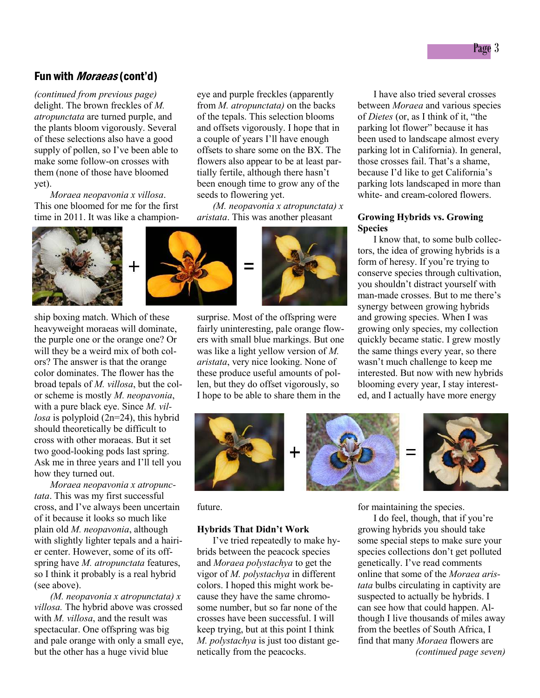## Fun with *Moraeas* (cont'd)

*(continued from previous page)*  delight. The brown freckles of *M. atropunctata* are turned purple, and the plants bloom vigorously. Several of these selections also have a good supply of pollen, so I've been able to make some follow-on crosses with them (none of those have bloomed yet).

*Moraea neopavonia x villosa*. This one bloomed for me for the first time in 2011. It was like a champion-



ship boxing match. Which of these heavyweight moraeas will dominate, the purple one or the orange one? Or will they be a weird mix of both colors? The answer is that the orange color dominates. The flower has the broad tepals of *M. villosa*, but the color scheme is mostly *M. neopavonia*, with a pure black eye. Since *M. villosa* is polyploid (2n=24), this hybrid should theoretically be difficult to cross with other moraeas. But it set two good-looking pods last spring. Ask me in three years and I'll tell you how they turned out.

*Moraea neopavonia x atropunctata*. This was my first successful cross, and I've always been uncertain of it because it looks so much like plain old *M. neopavonia*, although with slightly lighter tepals and a hairier center. However, some of its offspring have *M. atropunctata* features, so I think it probably is a real hybrid (see above).

*(M. neopavonia x atropunctata) x villosa.* The hybrid above was crossed with *M. villosa*, and the result was spectacular. One offspring was big and pale orange with only a small eye, but the other has a huge vivid blue

eye and purple freckles (apparently from *M. atropunctata)* on the backs of the tepals. This selection blooms and offsets vigorously. I hope that in a couple of years I'll have enough offsets to share some on the BX. The flowers also appear to be at least partially fertile, although there hasn't been enough time to grow any of the seeds to flowering yet.

*(M. neopavonia x atropunctata) x aristata*. This was another pleasant



surprise. Most of the offspring were fairly uninteresting, pale orange flowers with small blue markings. But one was like a light yellow version of *M. aristata*, very nice looking. None of these produce useful amounts of pollen, but they do offset vigorously, so I hope to be able to share them in the

I have also tried several crosses between *Moraea* and various species of *Dietes* (or, as I think of it, "the parking lot flower" because it has been used to landscape almost every parking lot in California). In general, those crosses fail. That's a shame, because I'd like to get California's parking lots landscaped in more than white- and cream-colored flowers.

## **Growing Hybrids vs. Growing Species**

I know that, to some bulb collectors, the idea of growing hybrids is a form of heresy. If you're trying to conserve species through cultivation, you shouldn't distract yourself with man-made crosses. But to me there's synergy between growing hybrids and growing species. When I was growing only species, my collection quickly became static. I grew mostly the same things every year, so there wasn't much challenge to keep me interested. But now with new hybrids blooming every year, I stay interested, and I actually have more energy



future.

#### **Hybrids That Didn't Work**

I've tried repeatedly to make hybrids between the peacock species and *Moraea polystachya* to get the vigor of *M. polystachya* in different colors. I hoped this might work because they have the same chromosome number, but so far none of the crosses have been successful. I will keep trying, but at this point I think *M. polystachya* is just too distant genetically from the peacocks.

for maintaining the species.

I do feel, though, that if you're growing hybrids you should take some special steps to make sure your species collections don't get polluted genetically. I've read comments online that some of the *Moraea aristata* bulbs circulating in captivity are suspected to actually be hybrids. I can see how that could happen. Although I live thousands of miles away from the beetles of South Africa, I find that many *Moraea* flowers are *(continued page seven)*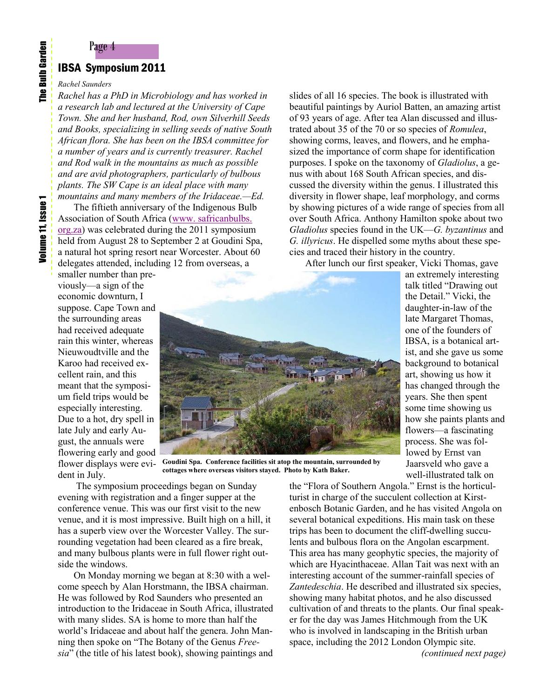## Page 4 IBSA Symposium 2011

#### *Rachel Saunders*

*Rachel has a PhD in Microbiology and has worked in a research lab and lectured at the University of Cape Town. She and her husband, Rod, own Silverhill Seeds and Books, specializing in selling seeds of native South African flora. She has been on the IBSA committee for a number of years and is currently treasurer. Rachel and Rod walk in the mountains as much as possible and are avid photographers, particularly of bulbous plants. The SW Cape is an ideal place with many mountains and many members of the Iridaceae.—Ed.*

The fiftieth anniversary of the Indigenous Bulb Association of South Africa [\(www. safricanbulbs.](http://www.safricanbulbs.org.za)  [org.za\)](http://www.safricanbulbs.org.za) was celebrated during the 2011 symposium held from August 28 to September 2 at Goudini Spa, a natural hot spring resort near Worcester. About 60 delegates attended, including 12 from overseas, a

smaller number than previously—a sign of the economic downturn, I suppose. Cape Town and the surrounding areas had received adequate rain this winter, whereas Nieuwoudtville and the Karoo had received excellent rain, and this meant that the symposium field trips would be especially interesting. Due to a hot, dry spell in late July and early August, the annuals were flowering early and good flower displays were evident in July.

slides of all 16 species. The book is illustrated with beautiful paintings by Auriol Batten, an amazing artist of 93 years of age. After tea Alan discussed and illustrated about 35 of the 70 or so species of *Romulea*, showing corms, leaves, and flowers, and he emphasized the importance of corm shape for identification purposes. I spoke on the taxonomy of *Gladiolus*, a genus with about 168 South African species, and discussed the diversity within the genus. I illustrated this diversity in flower shape, leaf morphology, and corms by showing pictures of a wide range of species from all over South Africa. Anthony Hamilton spoke about two *Gladiolus* species found in the UK—*G. byzantinus* and *G. illyricus*. He dispelled some myths about these species and traced their history in the country.

After lunch our first speaker, Vicki Thomas, gave



**Goudini Spa. Conference facilities sit atop the mountain, surrounded by cottages where overseas visitors stayed. Photo by Kath Baker.**

 The symposium proceedings began on Sunday evening with registration and a finger supper at the conference venue. This was our first visit to the new venue, and it is most impressive. Built high on a hill, it has a superb view over the Worcester Valley. The surrounding vegetation had been cleared as a fire break, and many bulbous plants were in full flower right outside the windows.

On Monday morning we began at 8:30 with a welcome speech by Alan Horstmann, the IBSA chairman. He was followed by Rod Saunders who presented an introduction to the Iridaceae in South Africa, illustrated with many slides. SA is home to more than half the world's Iridaceae and about half the genera. John Manning then spoke on "The Botany of the Genus *Freesia*" (the title of his latest book), showing paintings and

an extremely interesting talk titled "Drawing out the Detail." Vicki, the daughter-in-law of the late Margaret Thomas, one of the founders of IBSA, is a botanical artist, and she gave us some background to botanical art, showing us how it has changed through the years. She then spent some time showing us how she paints plants and flowers—a fascinating process. She was followed by Ernst van Jaarsveld who gave a well-illustrated talk on

the "Flora of Southern Angola." Ernst is the horticulturist in charge of the succulent collection at Kirstenbosch Botanic Garden, and he has visited Angola on

several botanical expeditions. His main task on these trips has been to document the cliff-dwelling succulents and bulbous flora on the Angolan escarpment. This area has many geophytic species, the majority of which are Hyacinthaceae. Allan Tait was next with an interesting account of the summer-rainfall species of *Zantedeschia*. He described and illustrated six species, showing many habitat photos, and he also discussed cultivation of and threats to the plants. Our final speaker for the day was James Hitchmough from the UK who is involved in landscaping in the British urban space, including the 2012 London Olympic site.

*(continued next page)*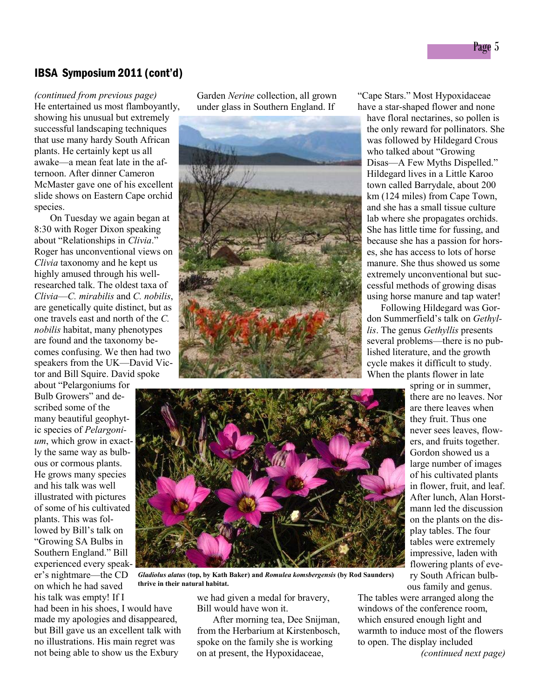## IBSA Symposium 2011 (cont'd)

*(continued from previous page)* He entertained us most flamboyantly, showing his unusual but extremely successful landscaping techniques that use many hardy South African plants. He certainly kept us all awake—a mean feat late in the afternoon. After dinner Cameron McMaster gave one of his excellent slide shows on Eastern Cape orchid species.

On Tuesday we again began at 8:30 with Roger Dixon speaking about "Relationships in *Clivia*." Roger has unconventional views on *Clivia* taxonomy and he kept us highly amused through his wellresearched talk. The oldest taxa of *Clivia*—*C. mirabilis* and *C. nobilis*, are genetically quite distinct, but as one travels east and north of the *C. nobilis* habitat, many phenotypes are found and the taxonomy becomes confusing. We then had two speakers from the UK—David Victor and Bill Squire. David spoke

about "Pelargoniums for Bulb Growers" and described some of the many beautiful geophytic species of *Pelargonium*, which grow in exactly the same way as bulbous or cormous plants. He grows many species and his talk was well illustrated with pictures of some of his cultivated plants. This was followed by Bill's talk on "Growing SA Bulbs in Southern England." Bill experienced every speaker's nightmare—the CD on which he had saved his talk was empty! If I

had been in his shoes, I would have made my apologies and disappeared, but Bill gave us an excellent talk with no illustrations. His main regret was not being able to show us the Exbury

Garden *Nerine* collection, all grown under glass in Southern England. If



"Cape Stars." Most Hypoxidaceae have a star-shaped flower and none

have floral nectarines, so pollen is the only reward for pollinators. She was followed by Hildegard Crous who talked about "Growing Disas—A Few Myths Dispelled." Hildegard lives in a Little Karoo town called Barrydale, about 200 km (124 miles) from Cape Town, and she has a small tissue culture lab where she propagates orchids. She has little time for fussing, and because she has a passion for horses, she has access to lots of horse manure. She thus showed us some extremely unconventional but successful methods of growing disas using horse manure and tap water!

 Following Hildegard was Gordon Summerfield's talk on *Gethyllis*. The genus *Gethyllis* presents several problems—there is no published literature, and the growth cycle makes it difficult to study. When the plants flower in late



*Gladiolus alatus* **(top, by Kath Baker) and** *Romulea komsbergensis* **(by Rod Saunders) thrive in their natural habitat.** 

we had given a medal for bravery, Bill would have won it.

After morning tea, Dee Snijman, from the Herbarium at Kirstenbosch, spoke on the family she is working on at present, the Hypoxidaceae,

spring or in summer, there are no leaves. Nor are there leaves when they fruit. Thus one never sees leaves, flowers, and fruits together. Gordon showed us a large number of images of his cultivated plants in flower, fruit, and leaf. After lunch, Alan Horstmann led the discussion on the plants on the display tables. The four tables were extremely impressive, laden with flowering plants of every South African bulb-

ous family and genus.

The tables were arranged along the windows of the conference room, which ensured enough light and warmth to induce most of the flowers to open. The display included *(continued next page)*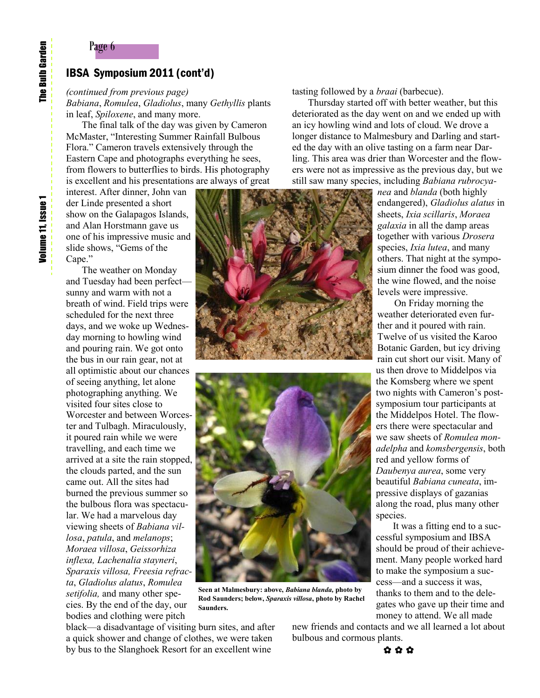## IBSA Symposium 2011 (cont'd)

## *(continued from previous page)*

Page 6

*Babiana*, *Romulea*, *Gladiolus*, many *Gethyllis* plants in leaf, *Spiloxene*, and many more.

The final talk of the day was given by Cameron McMaster, "Interesting Summer Rainfall Bulbous Flora." Cameron travels extensively through the Eastern Cape and photographs everything he sees, from flowers to butterflies to birds. His photography is excellent and his presentations are always of great

interest. After dinner, John van der Linde presented a short show on the Galapagos Islands, and Alan Horstmann gave us one of his impressive music and slide shows, "Gems of the Cape."

The weather on Monday and Tuesday had been perfect sunny and warm with not a breath of wind. Field trips were scheduled for the next three days, and we woke up Wednesday morning to howling wind and pouring rain. We got onto the bus in our rain gear, not at all optimistic about our chances of seeing anything, let alone photographing anything. We visited four sites close to Worcester and between Worcester and Tulbagh. Miraculously, it poured rain while we were travelling, and each time we arrived at a site the rain stopped, the clouds parted, and the sun came out. All the sites had burned the previous summer so the bulbous flora was spectacular. We had a marvelous day viewing sheets of *Babiana villosa*, *patula*, and *melanops*; *Moraea villosa*, *Geissorhiza inflexa, Lachenalia stayneri*, *Sparaxis villosa, Freesia refracta*, *Gladiolus alatus*, *Romulea setifolia,* and many other species. By the end of the day, our bodies and clothing were pitch





**Seen at Malmesbury: above,** *Babiana blanda,* **photo by Rod Saunders; below,** *Sparaxis villosa***, photo by Rachel Saunders.** 

black—a disadvantage of visiting burn sites, and after a quick shower and change of clothes, we were taken by bus to the Slanghoek Resort for an excellent wine

tasting followed by a *braai* (barbecue).

Thursday started off with better weather, but this deteriorated as the day went on and we ended up with an icy howling wind and lots of cloud. We drove a longer distance to Malmesbury and Darling and started the day with an olive tasting on a farm near Darling. This area was drier than Worcester and the flowers were not as impressive as the previous day, but we still saw many species, including *Babiana rubrocya-*

> *nea* and *blanda* (both highly endangered), *Gladiolus alatus* in sheets, *Ixia scillaris*, *Moraea galaxia* in all the damp areas together with various *Drosera* species, *Ixia lutea*, and many others. That night at the symposium dinner the food was good, the wine flowed, and the noise levels were impressive.

> On Friday morning the weather deteriorated even further and it poured with rain. Twelve of us visited the Karoo Botanic Garden, but icy driving rain cut short our visit. Many of us then drove to Middelpos via the Komsberg where we spent two nights with Cameron's postsymposium tour participants at the Middelpos Hotel. The flowers there were spectacular and we saw sheets of *Romulea monadelpha* and *komsbergensis*, both red and yellow forms of *Daubenya aurea*, some very beautiful *Babiana cuneata*, impressive displays of gazanias along the road, plus many other species.

> It was a fitting end to a successful symposium and IBSA should be proud of their achievement. Many people worked hard to make the symposium a success—and a success it was, thanks to them and to the delegates who gave up their time and money to attend. We all made

new friends and contacts and we all learned a lot about bulbous and cormous plants.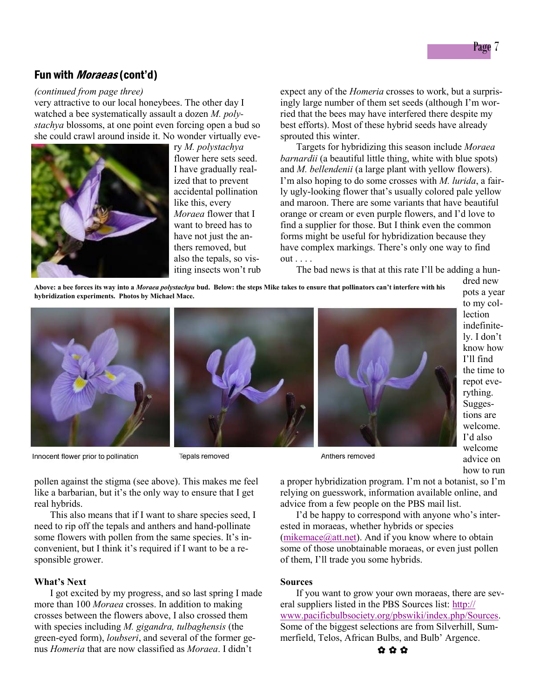## Fun with *Moraeas* (cont'd)

### *(continued from page three)*

very attractive to our local honeybees. The other day I watched a bee systematically assault a dozen *M. polystachya* blossoms, at one point even forcing open a bud so she could crawl around inside it. No wonder virtually eve-



ry *M. polystachya* flower here sets seed. I have gradually realized that to prevent accidental pollination like this, every *Moraea* flower that I want to breed has to have not just the anthers removed, but also the tepals, so visiting insects won't rub expect any of the *Homeria* crosses to work, but a surprisingly large number of them set seeds (although I'm worried that the bees may have interfered there despite my best efforts). Most of these hybrid seeds have already sprouted this winter.

Targets for hybridizing this season include *Moraea barnardii* (a beautiful little thing, white with blue spots) and *M. bellendenii* (a large plant with yellow flowers). I'm also hoping to do some crosses with *M. lurida*, a fairly ugly-looking flower that's usually colored pale yellow and maroon. There are some variants that have beautiful orange or cream or even purple flowers, and I'd love to find a supplier for those. But I think even the common forms might be useful for hybridization because they have complex markings. There's only one way to find out . . . .

The bad news is that at this rate I'll be adding a hun-

**Above: a bee forces its way into a** *Moraea polystachya* **bud. Below: the steps Mike takes to ensure that pollinators can't interfere with his hybridization experiments. Photos by Michael Mace.**



Innocent flower prior to pollination



Tepals removed



dred new pots a year to my collection indefinitely. I don't know how I'll find the time to repot everything. Suggestions are welcome. I'd also welcome advice on how to run

Anthers removed

pollen against the stigma (see above). This makes me feel like a barbarian, but it's the only way to ensure that I get real hybrids.

This also means that if I want to share species seed, I need to rip off the tepals and anthers and hand-pollinate some flowers with pollen from the same species. It's inconvenient, but I think it's required if I want to be a responsible grower.

#### **What's Next**

I got excited by my progress, and so last spring I made more than 100 *Moraea* crosses. In addition to making crosses between the flowers above, I also crossed them with species including *M. gigandra, tulbaghensis* (the green-eyed form), *loubseri*, and several of the former genus *Homeria* that are now classified as *Moraea*. I didn't

a proper hybridization program. I'm not a botanist, so I'm relying on guesswork, information available online, and advice from a few people on the PBS mail list.

I'd be happy to correspond with anyone who's interested in moraeas, whether hybrids or species ( $m$ ikemace $(a)$ <sub>att.net</sub>). And if you know where to obtain some of those unobtainable moraeas, or even just pollen of them, I'll trade you some hybrids.

## **Sources**

If you want to grow your own moraeas, there are several suppliers listed in the PBS Sources list: [http://](http://www.pacificbulbsociety.org/pbswiki/index.php/Sources) [www.pacificbulbsociety.org/pbswiki/index.php/Sources.](http://www.pacificbulbsociety.org/pbswiki/index.php/Sources) Some of the biggest selections are from Silverhill, Summerfield, Telos, African Bulbs, and Bulb' Argence.

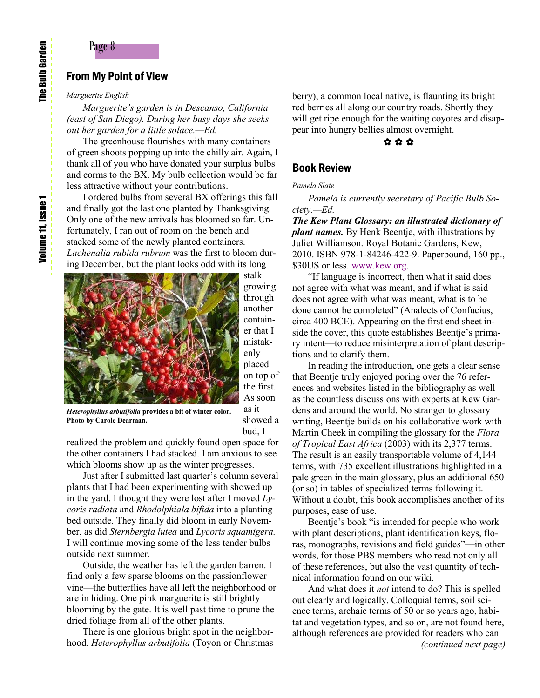## From My Point of View

#### *Marguerite English*

*Marguerite's garden is in Descanso, California (east of San Diego). During her busy days she seeks out her garden for a little solace.—Ed.*

The greenhouse flourishes with many containers of green shoots popping up into the chilly air. Again, I thank all of you who have donated your surplus bulbs and corms to the BX. My bulb collection would be far less attractive without your contributions.

I ordered bulbs from several BX offerings this fall and finally got the last one planted by Thanksgiving. Only one of the new arrivals has bloomed so far. Unfortunately, I ran out of room on the bench and stacked some of the newly planted containers. *Lachenalia rubida rubrum* was the first to bloom during December, but the plant looks odd with its long



stalk growing through another container that I mistakenly placed on top of the first. As soon as it showed a bud, I

*Heterophyllus arbutifolia* **provides a bit of winter color. Photo by Carole Dearman.**

realized the problem and quickly found open space for the other containers I had stacked. I am anxious to see which blooms show up as the winter progresses.

Just after I submitted last quarter's column several plants that I had been experimenting with showed up in the yard. I thought they were lost after I moved *Lycoris radiata* and *Rhodolphiala bifida* into a planting bed outside. They finally did bloom in early November, as did *Sternbergia lutea* and *Lycoris squamigera.* I will continue moving some of the less tender bulbs outside next summer.

Outside, the weather has left the garden barren. I find only a few sparse blooms on the passionflower vine—the butterflies have all left the neighborhood or are in hiding. One pink marguerite is still brightly blooming by the gate. It is well past time to prune the dried foliage from all of the other plants.

There is one glorious bright spot in the neighborhood. *Heterophyllus arbutifolia* (Toyon or Christmas berry), a common local native, is flaunting its bright red berries all along our country roads. Shortly they will get ripe enough for the waiting coyotes and disappear into hungry bellies almost overnight.

## ✿ ✿ ✿

## Book Review

#### *Pamela Slate*

*Pamela is currently secretary of Pacific Bulb Society.—Ed.*

*The Kew Plant Glossary: an illustrated dictionary of plant names.* By Henk Beentje, with illustrations by Juliet Williamson. Royal Botanic Gardens, Kew, 2010. ISBN 978-1-84246-422-9. Paperbound, 160 pp., \$30US or less. [www.kew.org.](http://www.kew.org)

"If language is incorrect, then what it said does not agree with what was meant, and if what is said does not agree with what was meant, what is to be done cannot be completed" (Analects of Confucius, circa 400 BCE). Appearing on the first end sheet inside the cover, this quote establishes Beentje's primary intent—to reduce misinterpretation of plant descriptions and to clarify them.

In reading the introduction, one gets a clear sense that Beentje truly enjoyed poring over the 76 references and websites listed in the bibliography as well as the countless discussions with experts at Kew Gardens and around the world. No stranger to glossary writing, Beentje builds on his collaborative work with Martin Cheek in compiling the glossary for the *Flora of Tropical East Africa* (2003) with its 2,377 terms. The result is an easily transportable volume of 4,144 terms, with 735 excellent illustrations highlighted in a pale green in the main glossary, plus an additional 650 (or so) in tables of specialized terms following it. Without a doubt, this book accomplishes another of its purposes, ease of use.

Beentje's book "is intended for people who work with plant descriptions, plant identification keys, floras, monographs, revisions and field guides"—in other words, for those PBS members who read not only all of these references, but also the vast quantity of technical information found on our wiki.

And what does it *not* intend to do? This is spelled out clearly and logically. Colloquial terms, soil science terms, archaic terms of 50 or so years ago, habitat and vegetation types, and so on, are not found here, although references are provided for readers who can *(continued next page)*

**The Bulb Garden** The Bulb Garden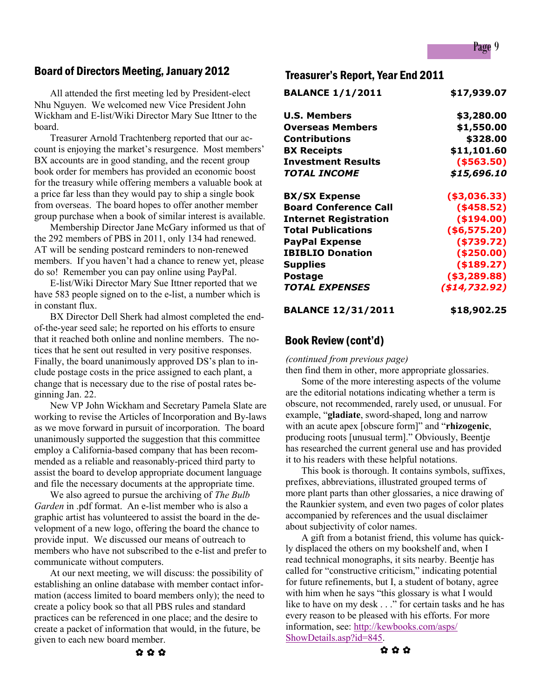## Page 9

## Board of Directors Meeting, January 2012

All attended the first meeting led by President-elect Nhu Nguyen. We welcomed new Vice President John Wickham and E-list/Wiki Director Mary Sue Ittner to the board.

Treasurer Arnold Trachtenberg reported that our account is enjoying the market's resurgence. Most members' BX accounts are in good standing, and the recent group book order for members has provided an economic boost for the treasury while offering members a valuable book at a price far less than they would pay to ship a single book from overseas. The board hopes to offer another member group purchase when a book of similar interest is available.

Membership Director Jane McGary informed us that of the 292 members of PBS in 2011, only 134 had renewed. AT will be sending postcard reminders to non-renewed members. If you haven't had a chance to renew yet, please do so! Remember you can pay online using PayPal.

E-list/Wiki Director Mary Sue Ittner reported that we have 583 people signed on to the e-list, a number which is in constant flux.

BX Director Dell Sherk had almost completed the endof-the-year seed sale; he reported on his efforts to ensure that it reached both online and nonline members. The notices that he sent out resulted in very positive responses. Finally, the board unanimously approved DS's plan to include postage costs in the price assigned to each plant, a change that is necessary due to the rise of postal rates beginning Jan. 22.

New VP John Wickham and Secretary Pamela Slate are working to revise the Articles of Incorporation and By-laws as we move forward in pursuit of incorporation. The board unanimously supported the suggestion that this committee employ a California-based company that has been recommended as a reliable and reasonably-priced third party to assist the board to develop appropriate document language and file the necessary documents at the appropriate time.

We also agreed to pursue the archiving of *The Bulb Garden* in .pdf format. An e-list member who is also a graphic artist has volunteered to assist the board in the development of a new logo, offering the board the chance to provide input. We discussed our means of outreach to members who have not subscribed to the e-list and prefer to communicate without computers.

At our next meeting, we will discuss: the possibility of establishing an online database with member contact information (access limited to board members only); the need to create a policy book so that all PBS rules and standard practices can be referenced in one place; and the desire to create a packet of information that would, in the future, be given to each new board member.

## Treasurer's Report, Year End 2011

| <b>BALANCE 1/1/2011</b>      | \$17,939.07   |
|------------------------------|---------------|
| <b>U.S. Members</b>          | \$3,280.00    |
| <b>Overseas Members</b>      | \$1,550.00    |
| Contributions                | \$328.00      |
| <b>BX Receipts</b>           | \$11,101.60   |
| <b>Investment Results</b>    | ( \$563.50)   |
| TOTAL INCOME                 | \$15,696.10   |
| <b>BX/SX Expense</b>         | ( \$3,036.33) |
| <b>Board Conference Call</b> | $($ \$458.52) |
| <b>Internet Registration</b> | ( \$194.00)   |
| <b>Total Publications</b>    | ( \$6,575.20) |
| <b>PayPal Expense</b>        | ( \$739.72)   |
| <b>IBIBLIO Donation</b>      | ( \$250.00)   |
| <b>Supplies</b>              | ( \$189.27)   |
| Postage                      | ( \$3,289.88) |
| <b>TOTAL EXPENSES</b>        | (\$14,732.92) |
|                              |               |

**BALANCE 12/31/2011 \$18,902.25** 

## Book Review (cont'd)

*(continued from previous page)*

then find them in other, more appropriate glossaries.

Some of the more interesting aspects of the volume are the editorial notations indicating whether a term is obscure, not recommended, rarely used, or unusual. For example, "**gladiate**, sword-shaped, long and narrow with an acute apex [obscure form]" and "**rhizogenic**, producing roots [unusual term]." Obviously, Beentje has researched the current general use and has provided it to his readers with these helpful notations.

This book is thorough. It contains symbols, suffixes, prefixes, abbreviations, illustrated grouped terms of more plant parts than other glossaries, a nice drawing of the Raunkier system, and even two pages of color plates accompanied by references and the usual disclaimer about subjectivity of color names.

A gift from a botanist friend, this volume has quickly displaced the others on my bookshelf and, when I read technical monographs, it sits nearby. Beentje has called for "constructive criticism," indicating potential for future refinements, but I, a student of botany, agree with him when he says "this glossary is what I would like to have on my desk . . ." for certain tasks and he has every reason to be pleased with his efforts. For more information, see: [http://kewbooks.com/asps/](http://kewbooks.com/asps/ShowDetails.asp?id=845) [ShowDetails.asp?id=845.](http://kewbooks.com/asps/ShowDetails.asp?id=845)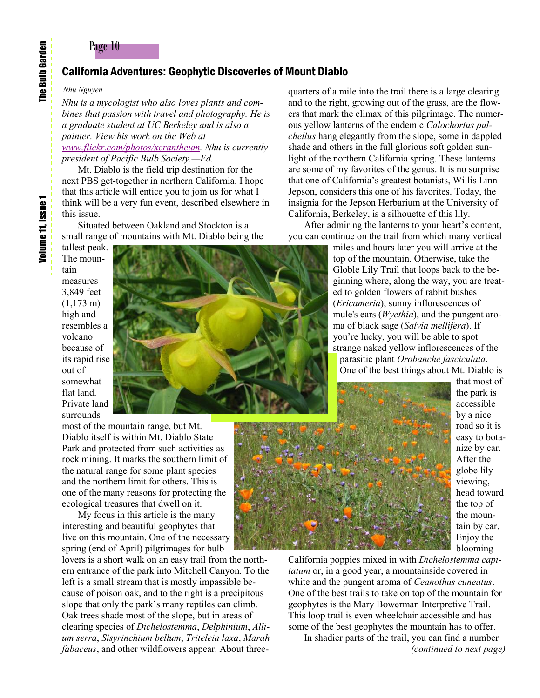## Page 10

## California Adventures: Geophytic Discoveries of Mount Diablo

*Nhu Nguyen*

*Nhu is a mycologist who also loves plants and combines that passion with travel and photography. He is a graduate student at UC Berkeley and is also a painter. View his work on the Web at [www.flickr.com/photos/xerantheum.](http://www.flickr.com/photos/xerantheum) Nhu is currently president of Pacific Bulb Society.—Ed.*

Mt. Diablo is the field trip destination for the next PBS get-together in northern California. I hope that this article will entice you to join us for what I think will be a very fun event, described elsewhere in this issue.

Situated between Oakland and Stockton is a small range of mountains with Mt. Diablo being the

tallest peak. The mountain measures 3,849 feet (1,173 m) high and resembles a volcano because of its rapid rise out of somewhat flat land. Private land surrounds

most of the mountain range, but Mt. Diablo itself is within Mt. Diablo State Park and protected from such activities as rock mining. It marks the southern limit of the natural range for some plant species and the northern limit for others. This is one of the many reasons for protecting the ecological treasures that dwell on it.

My focus in this article is the many interesting and beautiful geophytes that live on this mountain. One of the necessary spring (end of April) pilgrimages for bulb

lovers is a short walk on an easy trail from the northern entrance of the park into Mitchell Canyon. To the left is a small stream that is mostly impassible because of poison oak, and to the right is a precipitous slope that only the park's many reptiles can climb. Oak trees shade most of the slope, but in areas of clearing species of *Dichelostemma*, *Delphinium*, *Allium serra*, *Sisyrinchium bellum*, *Triteleia laxa*, *Marah fabaceus*, and other wildflowers appear. About threequarters of a mile into the trail there is a large clearing and to the right, growing out of the grass, are the flowers that mark the climax of this pilgrimage. The numerous yellow lanterns of the endemic *Calochortus pulchellus* hang elegantly from the slope, some in dappled shade and others in the full glorious soft golden sunlight of the northern California spring. These lanterns are some of my favorites of the genus. It is no surprise that one of California's greatest botanists, Willis Linn Jepson, considers this one of his favorites. Today, the insignia for the Jepson Herbarium at the University of California, Berkeley, is a silhouette of this lily.

After admiring the lanterns to your heart's content, you can continue on the trail from which many vertical

> miles and hours later you will arrive at the top of the mountain. Otherwise, take the Globle Lily Trail that loops back to the beginning where, along the way, you are treated to golden flowers of rabbit bushes (*Ericameria*), sunny inflorescences of mule's ears (*Wyethia*), and the pungent aroma of black sage (*Salvia mellifera*). If you're lucky, you will be able to spot strange naked yellow inflorescences of the parasitic plant *Orobanche fasciculata*. One of the best things about Mt. Diablo is

that most of the park is accessible by a nice road so it is easy to botanize by car. After the globe lily viewing, head toward the top of the mountain by car. Enjoy the blooming

California poppies mixed in with *Dichelostemma capitatum* or, in a good year, a mountainside covered in white and the pungent aroma of *Ceanothus cuneatus*. One of the best trails to take on top of the mountain for geophytes is the Mary Bowerman Interpretive Trail. This loop trail is even wheelchair accessible and has some of the best geophytes the mountain has to offer. In shadier parts of the trail, you can find a number

*(continued to next page)*



The Bulb Garden

The Bulb Garden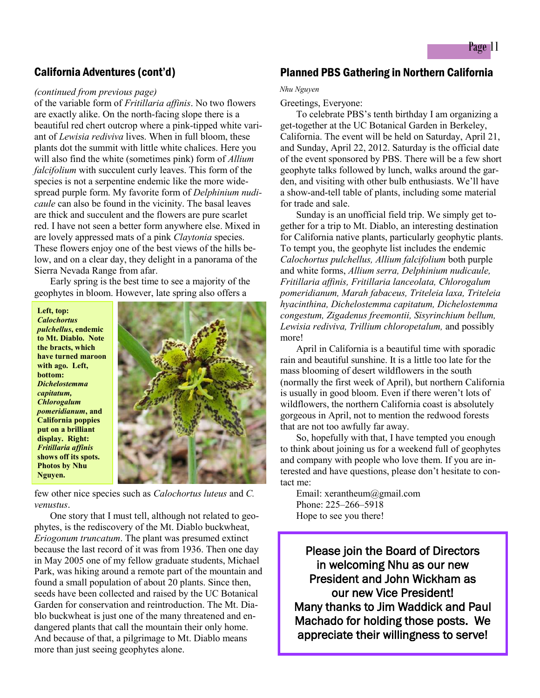## California Adventures (cont'd)

#### *(continued from previous page)*

of the variable form of *Fritillaria affinis*. No two flowers are exactly alike. On the north-facing slope there is a beautiful red chert outcrop where a pink-tipped white variant of *Lewisia rediviva* lives. When in full bloom, these plants dot the summit with little white chalices. Here you will also find the white (sometimes pink) form of *Allium falcifolium* with succulent curly leaves. This form of the species is not a serpentine endemic like the more widespread purple form. My favorite form of *Delphinium nudicaule* can also be found in the vicinity. The basal leaves are thick and succulent and the flowers are pure scarlet red. I have not seen a better form anywhere else. Mixed in are lovely appressed mats of a pink *Claytonia* species. These flowers enjoy one of the best views of the hills below, and on a clear day, they delight in a panorama of the Sierra Nevada Range from afar.

Early spring is the best time to see a majority of the geophytes in bloom. However, late spring also offers a

**Left, top:**  *Calochortus pulchellus***, endemic to Mt. Diablo. Note the bracts, which have turned maroon with ago. Left, bottom:**  *Dichelostemma capitatum, Chlorogalum pomeridianum***, and California poppies put on a brilliant display. Right:**  *Fritillaria affinis*  **shows off its spots. Photos by Nhu Nguyen.**



few other nice species such as *Calochortus luteus* and *C. venustus*.

One story that I must tell, although not related to geophytes, is the rediscovery of the Mt. Diablo buckwheat, *Eriogonum truncatum*. The plant was presumed extinct because the last record of it was from 1936. Then one day in May 2005 one of my fellow graduate students, Michael Park, was hiking around a remote part of the mountain and found a small population of about 20 plants. Since then, seeds have been collected and raised by the UC Botanical Garden for conservation and reintroduction. The Mt. Diablo buckwheat is just one of the many threatened and endangered plants that call the mountain their only home. And because of that, a pilgrimage to Mt. Diablo means more than just seeing geophytes alone.

## Planned PBS Gathering in Northern California

#### *Nhu Nguyen*

#### Greetings, Everyone:

To celebrate PBS's tenth birthday I am organizing a get-together at the UC Botanical Garden in Berkeley, California. The event will be held on Saturday, April 21, and Sunday, April 22, 2012. Saturday is the official date of the event sponsored by PBS. There will be a few short geophyte talks followed by lunch, walks around the garden, and visiting with other bulb enthusiasts. We'll have a show-and-tell table of plants, including some material for trade and sale.

Sunday is an unofficial field trip. We simply get together for a trip to Mt. Diablo, an interesting destination for California native plants, particularly geophytic plants. To tempt you, the geophyte list includes the endemic *Calochortus pulchellus, Allium falcifolium* both purple and white forms, *Allium serra, Delphinium nudicaule, Fritillaria affinis, Fritillaria lanceolata, Chlorogalum pomeridianum, Marah fabaceus, Triteleia laxa, Triteleia hyacinthina, Dichelostemma capitatum, Dichelostemma congestum, Zigadenus freemontii, Sisyrinchium bellum, Lewisia rediviva, Trillium chloropetalum,* and possibly more!

April in California is a beautiful time with sporadic rain and beautiful sunshine. It is a little too late for the mass blooming of desert wildflowers in the south (normally the first week of April), but northern California is usually in good bloom. Even if there weren't lots of wildflowers, the northern California coast is absolutely gorgeous in April, not to mention the redwood forests that are not too awfully far away.

So, hopefully with that, I have tempted you enough to think about joining us for a weekend full of geophytes and company with people who love them. If you are interested and have questions, please don't hesitate to contact me:

Email: xerantheum@gmail.com Phone: 225–266–5918 Hope to see you there!

Please join the Board of Directors in welcoming Nhu as our new President and John Wickham as our new Vice President! Many thanks to Jim Waddick and Paul Machado for holding those posts. We appreciate their willingness to serve!